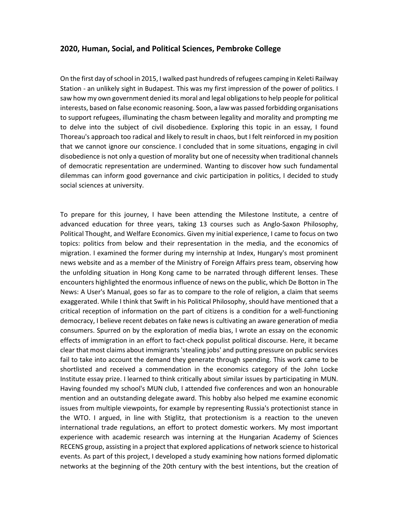## **2020, Human, Social, and Political Sciences, Pembroke College**

On the first day of school in 2015, I walked past hundreds of refugees camping in Keleti Railway Station - an unlikely sight in Budapest. This was my first impression of the power of politics. I saw how my own government denied its moral and legal obligations to help people for political interests, based on false economic reasoning. Soon, a law was passed forbidding organisations to support refugees, illuminating the chasm between legality and morality and prompting me to delve into the subject of civil disobedience. Exploring this topic in an essay, I found Thoreau's approach too radical and likely to result in chaos, but I felt reinforced in my position that we cannot ignore our conscience. I concluded that in some situations, engaging in civil disobedience is not only a question of morality but one of necessity when traditional channels of democratic representation are undermined. Wanting to discover how such fundamental dilemmas can inform good governance and civic participation in politics, I decided to study social sciences at university.

To prepare for this journey, I have been attending the Milestone Institute, a centre of advanced education for three years, taking 13 courses such as Anglo-Saxon Philosophy, Political Thought, and Welfare Economics. Given my initial experience, I came to focus on two topics: politics from below and their representation in the media, and the economics of migration. I examined the former during my internship at Index, Hungary's most prominent news website and as a member of the Ministry of Foreign Affairs press team, observing how the unfolding situation in Hong Kong came to be narrated through different lenses. These encounters highlighted the enormous influence of news on the public, which De Botton in The News: A User's Manual, goes so far as to compare to the role of religion, a claim that seems exaggerated. While I think that Swift in his Political Philosophy, should have mentioned that a critical reception of information on the part of citizens is a condition for a well-functioning democracy, I believe recent debates on fake news is cultivating an aware generation of media consumers. Spurred on by the exploration of media bias, I wrote an essay on the economic effects of immigration in an effort to fact-check populist political discourse. Here, it became clear that most claims about immigrants 'stealing jobs' and putting pressure on public services fail to take into account the demand they generate through spending. This work came to be shortlisted and received a commendation in the economics category of the John Locke Institute essay prize. I learned to think critically about similar issues by participating in MUN. Having founded my school's MUN club, I attended five conferences and won an honourable mention and an outstanding delegate award. This hobby also helped me examine economic issues from multiple viewpoints, for example by representing Russia's protectionist stance in the WTO. I argued, in line with Stiglitz, that protectionism is a reaction to the uneven international trade regulations, an effort to protect domestic workers. My most important experience with academic research was interning at the Hungarian Academy of Sciences RECENS group, assisting in a project that explored applications of network science to historical events. As part of this project, I developed a study examining how nations formed diplomatic networks at the beginning of the 20th century with the best intentions, but the creation of